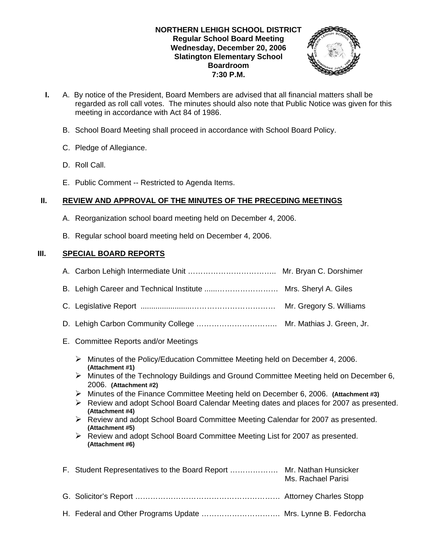### **NORTHERN LEHIGH SCHOOL DISTRICT Regular School Board Meeting Wednesday, December 20, 2006 Slatington Elementary School Boardroom 7:30 P.M.**



- **I.** A. By notice of the President, Board Members are advised that all financial matters shall be regarded as roll call votes. The minutes should also note that Public Notice was given for this meeting in accordance with Act 84 of 1986.
	- B. School Board Meeting shall proceed in accordance with School Board Policy.
	- C. Pledge of Allegiance.
	- D. Roll Call.
	- E. Public Comment -- Restricted to Agenda Items.

## **II. REVIEW AND APPROVAL OF THE MINUTES OF THE PRECEDING MEETINGS**

- A. Reorganization school board meeting held on December 4, 2006.
- B. Regular school board meeting held on December 4, 2006.

## **III. SPECIAL BOARD REPORTS**

- A. Carbon Lehigh Intermediate Unit …………………………….. Mr. Bryan C. Dorshimer
- B. Lehigh Career and Technical Institute ......…………………… Mrs. Sheryl A. Giles
- C. Legislative Report ........................…………………………… Mr. Gregory S. Williams
- D. Lehigh Carbon Community College ................................. Mr. Mathias J. Green, Jr.
- E. Committee Reports and/or Meetings
	- $\triangleright$  Minutes of the Policy/Education Committee Meeting held on December 4, 2006. **(Attachment #1)**
	- $\triangleright$  Minutes of the Technology Buildings and Ground Committee Meeting held on December 6, 2006. **(Attachment #2)**
	- ¾ Minutes of the Finance Committee Meeting held on December 6, 2006. **(Attachment #3)**
	- ¾ Review and adopt School Board Calendar Meeting dates and places for 2007 as presented. **(Attachment #4)**
	- ¾ Review and adopt School Board Committee Meeting Calendar for 2007 as presented. **(Attachment #5)**
	- ¾ Review and adopt School Board Committee Meeting List for 2007 as presented. **(Attachment #6)**

| F. Student Representatives to the Board Report  Mr. Nathan Hunsicker | Ms. Rachael Parisi |
|----------------------------------------------------------------------|--------------------|
|                                                                      |                    |
|                                                                      |                    |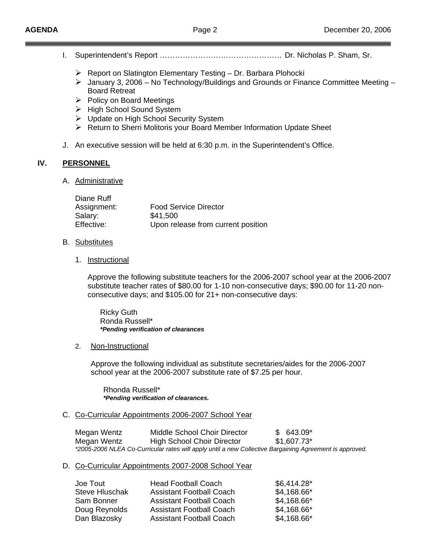- I. Superintendent's Report ………………………………………… Dr. Nicholas P. Sham, Sr.
	- $\triangleright$  Report on Slatington Elementary Testing Dr. Barbara Plohocki
	- ¾ January 3, 2006 No Technology/Buildings and Grounds or Finance Committee Meeting Board Retreat
	- $\triangleright$  Policy on Board Meetings
	- ¾ High School Sound System
	- ¾ Update on High School Security System
	- ¾ Return to Sherri Molitoris your Board Member Information Update Sheet
- J. An executive session will be held at 6:30 p.m. in the Superintendent's Office.

#### **IV. PERSONNEL**

A. Administrative

| <b>Food Service Director</b>       |
|------------------------------------|
| \$41,500                           |
| Upon release from current position |
|                                    |

- B. Substitutes
	- 1. Instructional

Approve the following substitute teachers for the 2006-2007 school year at the 2006-2007 substitute teacher rates of \$80.00 for 1-10 non-consecutive days; \$90.00 for 11-20 nonconsecutive days; and \$105.00 for 21+ non-consecutive days:

 Ricky Guth Ronda Russell\*  *\*Pending verification of clearances*

2. Non-Instructional

Approve the following individual as substitute secretaries/aides for the 2006-2007 school year at the 2006-2007 substitute rate of \$7.25 per hour.

 Rhonda Russell\* *\*Pending verification of clearances.*

#### C. Co-Curricular Appointments 2006-2007 School Year

Megan Wentz Middle School Choir Director  $$643.09*$  Megan Wentz High School Choir Director \$1,607.73\*  *\*2005-2006 NLEA Co-Curricular rates will apply until a new Collective Bargaining Agreement is approved.* 

### D. Co-Curricular Appointments 2007-2008 School Year

| Joe Tout              | <b>Head Football Coach</b>      | \$6,414.28" |
|-----------------------|---------------------------------|-------------|
| <b>Steve Hluschak</b> | <b>Assistant Football Coach</b> | \$4,168.66* |
| Sam Bonner            | <b>Assistant Football Coach</b> | \$4,168.66* |
| Doug Reynolds         | <b>Assistant Football Coach</b> | \$4,168.66* |
| Dan Blazosky          | <b>Assistant Football Coach</b> | \$4,168.66* |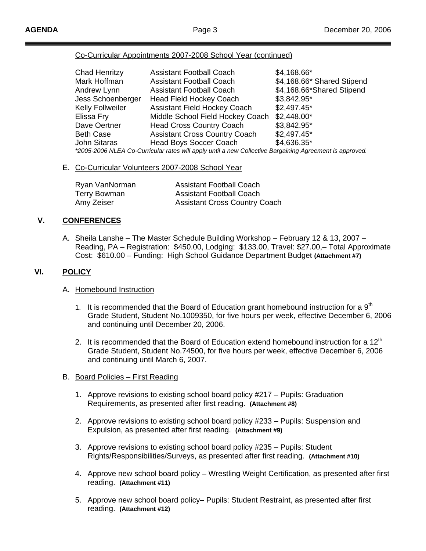### Co-Curricular Appointments 2007-2008 School Year (continued)

| Chad Henritzy                                                                                           | <b>Assistant Football Coach</b>      | \$4,168.66*                |  |  |
|---------------------------------------------------------------------------------------------------------|--------------------------------------|----------------------------|--|--|
| Mark Hoffman                                                                                            | <b>Assistant Football Coach</b>      | \$4,168.66* Shared Stipend |  |  |
| Andrew Lynn                                                                                             | <b>Assistant Football Coach</b>      | \$4,168.66*Shared Stipend  |  |  |
| Jess Schoenberger                                                                                       | <b>Head Field Hockey Coach</b>       | \$3,842.95*                |  |  |
| <b>Kelly Follweiler</b>                                                                                 | <b>Assistant Field Hockey Coach</b>  | $$2,497.45$ *              |  |  |
| Elissa Fry                                                                                              | Middle School Field Hockey Coach     | $$2,448.00*$               |  |  |
| Dave Oertner                                                                                            | <b>Head Cross Country Coach</b>      | \$3,842.95*                |  |  |
| <b>Beth Case</b>                                                                                        | <b>Assistant Cross Country Coach</b> | $$2,497.45*$               |  |  |
| <b>John Sitaras</b>                                                                                     | <b>Head Boys Soccer Coach</b>        | \$4,636.35*                |  |  |
| *2005-2006 NLEA Co-Curricular rates will apply until a new Collective Bargaining Agreement is approved. |                                      |                            |  |  |

### E. Co-Curricular Volunteers 2007-2008 School Year

| Ryan VanNorman | <b>Assistant Football Coach</b>      |
|----------------|--------------------------------------|
| Terry Bowman   | <b>Assistant Football Coach</b>      |
| Amy Zeiser     | <b>Assistant Cross Country Coach</b> |

## **V. CONFERENCES**

A. Sheila Lanshe – The Master Schedule Building Workshop – February 12 & 13, 2007 – Reading, PA – Registration: \$450.00, Lodging: \$133.00, Travel: \$27.00,– Total Approximate Cost: \$610.00 – Funding: High School Guidance Department Budget **(Attachment #7)** 

### **VI. POLICY**

### A. Homebound Instruction

- 1. It is recommended that the Board of Education grant homebound instruction for a  $9<sup>th</sup>$  Grade Student, Student No.1009350, for five hours per week, effective December 6, 2006 and continuing until December 20, 2006.
- 2. It is recommended that the Board of Education extend homebound instruction for a  $12<sup>th</sup>$  Grade Student, Student No.74500, for five hours per week, effective December 6, 2006 and continuing until March 6, 2007.
- B. Board Policies First Reading
	- 1. Approve revisions to existing school board policy #217 Pupils: Graduation Requirements, as presented after first reading. **(Attachment #8)**
	- 2. Approve revisions to existing school board policy #233 Pupils: Suspension and Expulsion, as presented after first reading. **(Attachment #9)**
	- 3. Approve revisions to existing school board policy #235 Pupils: Student Rights/Responsibilities/Surveys, as presented after first reading. **(Attachment #10)**
	- 4. Approve new school board policy Wrestling Weight Certification, as presented after first reading. **(Attachment #11)**
	- 5. Approve new school board policy– Pupils: Student Restraint, as presented after first reading. **(Attachment #12)**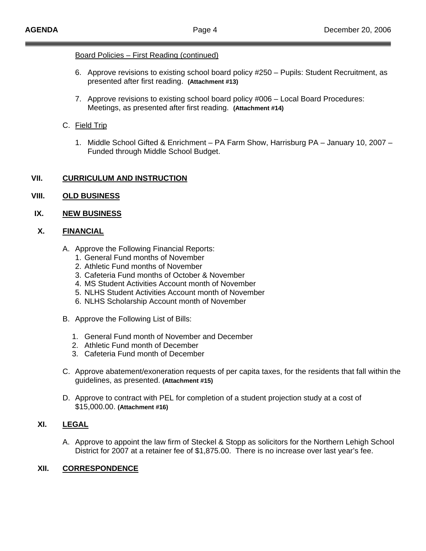### Board Policies – First Reading (continued)

- 6. Approve revisions to existing school board policy #250 Pupils: Student Recruitment, as presented after first reading. **(Attachment #13)**
- 7. Approve revisions to existing school board policy #006 Local Board Procedures: Meetings, as presented after first reading. **(Attachment #14)**

## C. Field Trip

1. Middle School Gifted & Enrichment – PA Farm Show, Harrisburg PA – January 10, 2007 – Funded through Middle School Budget.

### **VII. CURRICULUM AND INSTRUCTION**

## **VIII. OLD BUSINESS**

### **IX. NEW BUSINESS**

## **X. FINANCIAL**

- A. Approve the Following Financial Reports:
	- 1. General Fund months of November
	- 2. Athletic Fund months of November
	- 3. Cafeteria Fund months of October & November
	- 4. MS Student Activities Account month of November
	- 5. NLHS Student Activities Account month of November
	- 6. NLHS Scholarship Account month of November
- B. Approve the Following List of Bills:
	- 1. General Fund month of November and December
	- 2. Athletic Fund month of December
	- 3. Cafeteria Fund month of December
- C. Approve abatement/exoneration requests of per capita taxes, for the residents that fall within the guidelines, as presented. **(Attachment #15)**
- D. Approve to contract with PEL for completion of a student projection study at a cost of \$15,000.00. **(Attachment #16)**

## **XI. LEGAL**

A. Approve to appoint the law firm of Steckel & Stopp as solicitors for the Northern Lehigh School District for 2007 at a retainer fee of \$1,875.00. There is no increase over last year's fee.

### **XII. CORRESPONDENCE**